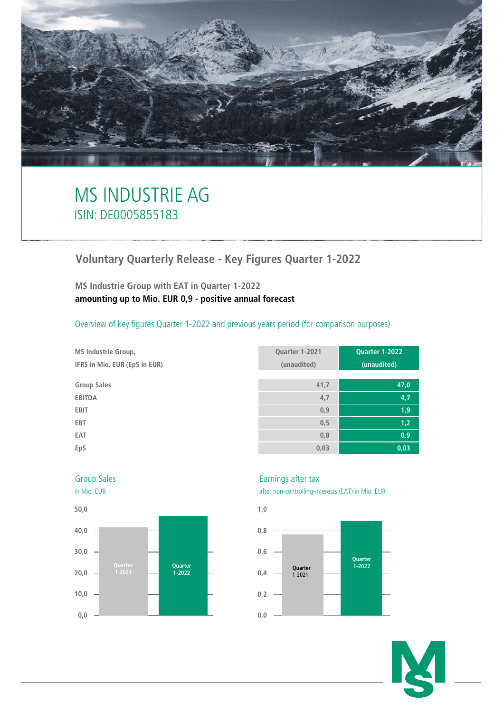

# MS INDUSTRIE AG ISIN: DE0005855183

# **Voluntary Quarterly Release - Key Figures Quarter 1-2022**

**MS Industrie Group with EAT in Quarter 1-2022 amounting up to Mio. EUR 0,9 - positive annual forecast**

Overview of key figures Quarter 1-2022 and previous years period (for comparison purposes)

| <b>MS Industrie Group,</b>   |  |  |  |  |  |  |  |
|------------------------------|--|--|--|--|--|--|--|
| IFRS in Mio. EUR (EpS in EU) |  |  |  |  |  |  |  |

| <b>MS Industrie Group,</b>    | Quarter 1-2021 | Quarter 1-2022 |
|-------------------------------|----------------|----------------|
| IFRS in Mio. EUR (EpS in EUR) | (unaudited)    | (unaudited)    |
|                               |                |                |
| <b>Group Sales</b>            | 41,7           | 47,0           |
| <b>EBITDA</b>                 | 4,7            | 4,7            |
| <b>EBIT</b>                   | 0,9            | 1,9            |
| EBT                           | 0,5            | 1,2            |
| EAT                           | 0,8            | 0,9            |
| EpS                           | 0,03           | 0,03           |



## Group Sales **Earnings** after tax

in Mio. EUR after non-controlling-interests (EAT) in Mio. EUR



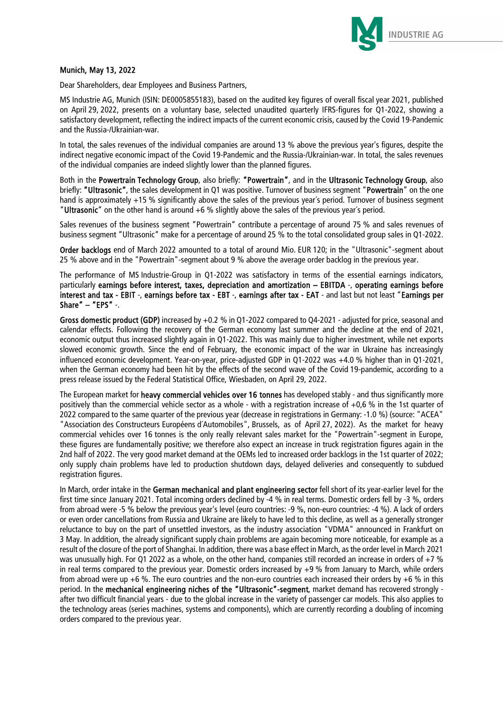

#### Munich, May 13, 2022

Dear Shareholders, dear Employees and Business Partners,

MS Industrie AG, Munich (ISIN: DE0005855183), based on the audited key figures of overall fiscal year 2021, published on April 29, 2022, presents on a voluntary base, selected unaudited quarterly IFRS-figures for Q1-2022, showing a satisfactory development, reflecting the indirect impacts of the current economic crisis, caused by the Covid 19-Pandemic and the Russia-/Ukrainian-war.

In total, the sales revenues of the individual companies are around 13 % above the previous year's figures, despite the indirect negative economic impact of the Covid 19-Pandemic and the Russia-/Ukrainian-war. In total, the sales revenues of the individual companies are indeed slightly lower than the planned figures.

Both in the Powertrain Technology Group, also briefly: "Powertrain", and in the Ultrasonic Technology Group, also briefly: "Ultrasonic", the sales development in Q1 was positive. Turnover of business segment "Powertrain" on the one hand is approximately +15 % significantly above the sales of the previous year's period. Turnover of business segment "Ultrasonic" on the other hand is around +6 % slightly above the sales of the previous year´s period.

Sales revenues of the business segment "Powertrain" contribute a percentage of around 75 % and sales revenues of business segment "Ultrasonic" make for a percentage of around 25 % to the total consolidated group sales in Q1-2022.

Order backlogs end of March 2022 amounted to a total of around Mio. EUR 120; in the "Ultrasonic"-segment about 25 % above and in the "Powertrain"-segment about 9 % above the average order backlog in the previous year.

The performance of MS Industrie-Group in Q1-2022 was satisfactory in terms of the essential earnings indicators, particularly earnings before interest, taxes, depreciation and amortization – EBITDA -, operating earnings before interest and tax - EBIT -, earnings before tax - EBT -, earnings after tax - EAT - and last but not least "Earnings per Share" – "EPS" -.

Gross domestic product (GDP) increased by +0.2 % in Q1-2022 compared to Q4-2021 - adjusted for price, seasonal and calendar effects. Following the recovery of the German economy last summer and the decline at the end of 2021, economic output thus increased slightly again in Q1-2022. This was mainly due to higher investment, while net exports slowed economic growth. Since the end of February, the economic impact of the war in Ukraine has increasingly influenced economic development. Year-on-year, price-adjusted GDP in Q1-2022 was +4.0 % higher than in Q1-2021, when the German economy had been hit by the effects of the second wave of the Covid 19-pandemic, according to a press release issued by the Federal Statistical Office, Wiesbaden, on April 29, 2022.

The European market for heavy commercial vehicles over 16 tonnes has developed stably - and thus significantly more positively than the commercial vehicle sector as a whole - with a registration increase of +0,6 % in the 1st quarter of 2022 compared to the same quarter of the previous year (decrease in registrations in Germany: -1.0 %) (source: "ACEA" "Association des Constructeurs Européens d´Automobiles", Brussels, as of April 27, 2022). As the market for heavy commercial vehicles over 16 tonnes is the only really relevant sales market for the "Powertrain"-segment in Europe, these figures are fundamentally positive; we therefore also expect an increase in truck registration figures again in the 2nd half of 2022. The very good market demand at the OEMs led to increased order backlogs in the 1st quarter of 2022; only supply chain problems have led to production shutdown days, delayed deliveries and consequently to subdued registration figures.

In March, order intake in the German mechanical and plant engineering sector fell short of its year-earlier level for the first time since January 2021. Total incoming orders declined by -4 % in real terms. Domestic orders fell by -3 %, orders from abroad were -5 % below the previous year's level (euro countries: -9 %, non-euro countries: -4 %). A lack of orders or even order cancellations from Russia and Ukraine are likely to have led to this decline, as well as a generally stronger reluctance to buy on the part of unsettled investors, as the industry association "VDMA" announced in Frankfurt on 3 May. In addition, the already significant supply chain problems are again becoming more noticeable, for example as a result of the closure of the port of Shanghai. In addition, there was a base effect in March, as the order level in March 2021 was unusually high. For Q1 2022 as a whole, on the other hand, companies still recorded an increase in orders of +7 % in real terms compared to the previous year. Domestic orders increased by +9 % from January to March, while orders from abroad were up +6 %. The euro countries and the non-euro countries each increased their orders by +6 % in this period. In the mechanical engineering niches of the "Ultrasonic"-segment, market demand has recovered strongly after two difficult financial years - due to the global increase in the variety of passenger car models. This also applies to the technology areas (series machines, systems and components), which are currently recording a doubling of incoming orders compared to the previous year.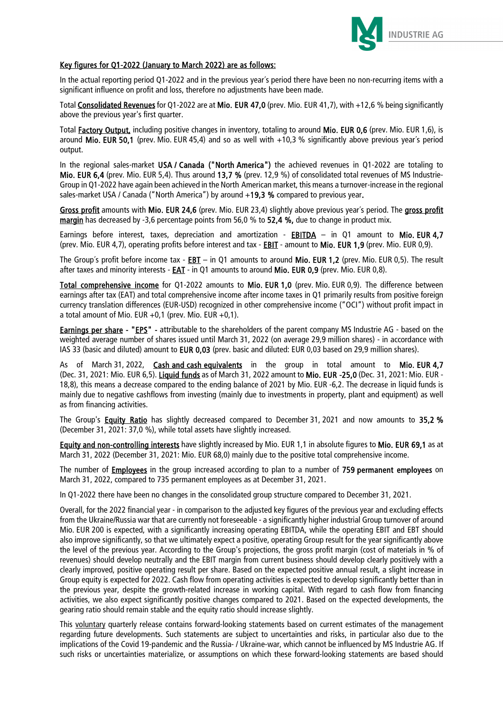

### Key figures for Q1-2022 (January to March 2022) are as follows:

In the actual reporting period Q1-2022 and in the previous year´s period there have been no non-recurring items with a significant influence on profit and loss, therefore no adjustments have been made.

Total Consolidated Revenues for Q1-2022 are at Mio. EUR 47,0 (prev. Mio. EUR 41,7), with +12,6 % being significantly above the previous year's first quarter.

Total Factory Output, including positive changes in inventory, totaling to around Mio. EUR 0,6 (prev. Mio. EUR 1,6), is around Mio. EUR 50.1 (prev. Mio. EUR 45,4) and so as well with  $+10.3$  % significantly above previous year's period output.

In the regional sales-market USA / Canada ("North America") the achieved revenues in Q1-2022 are totaling to Mio. EUR 6,4 (prev. Mio. EUR 5,4). Thus around 13,7 % (prev. 12,9 %) of consolidated total revenues of MS Industrie-Group in Q1-2022 have again been achieved in the North American market, this means a turnover-increase in the regional sales-market USA / Canada ("North America") by around +19,3 % compared to previous year.

Gross profit amounts with Mio. EUR 24,6 (prev. Mio. EUR 23,4) slightly above previous year´s period. The gross profit margin has decreased by -3.6 percentage points from 56.0 % to 52.4 %, due to change in product mix.

Earnings before interest, taxes, depreciation and amortization - EBITDA – in Q1 amount to Mio. EUR 4.7 (prev. Mio. EUR 4,7), operating profits before interest and tax - **EBIT** - amount to Mio. EUR 1,9 (prev. Mio. EUR 0,9).

The Group's profit before income tax -  $EBI - in Q1$  amounts to around Mio. EUR 1,2 (prev. Mio. EUR 0,5). The result after taxes and minority interests - **EAT** - in Q1 amounts to around Mio. EUR 0,9 (prev. Mio. EUR 0,8).

Total comprehensive income for Q1-2022 amounts to Mio. EUR 1,0 (prev. Mio. EUR 0,9). The difference between earnings after tax (EAT) and total comprehensive income after income taxes in Q1 primarily results from positive foreign currency translation differences (EUR-USD) recognized in other comprehensive income ("OCI") without profit impact in a total amount of Mio. EUR +0,1 (prev. Mio. EUR +0,1).

Earnings per share - "EPS" - attributable to the shareholders of the parent company MS Industrie AG - based on the weighted average number of shares issued until March 31, 2022 (on average 29,9 million shares) - in accordance with IAS 33 (basic and diluted) amount to EUR 0,03 (prev. basic and diluted: EUR 0,03 based on 29,9 million shares).

As of March 31, 2022, Cash and cash equivalents in the group in total amount to Mio. EUR 4,7 (Dec. 31, 2021: Mio. EUR 6,5). Liquid funds as of March 31, 2022 amount to Mio. EUR -25,0 (Dec. 31, 2021: Mio. EUR -18,8), this means a decrease compared to the ending balance of 2021 by Mio. EUR -6,2. The decrease in liquid funds is mainly due to negative cashflows from investing (mainly due to investments in property, plant and equipment) as well as from financing activities.

The Group's **Equity Ratio** has slightly decreased compared to December 31, 2021 and now amounts to 35,2 % (December 31, 2021: 37,0 %), while total assets have slightly increased.

Equity and non-controlling interests have slightly increased by Mio. EUR 1,1 in absolute figures to Mio. EUR 69,1 as at March 31, 2022 (December 31, 2021: Mio. EUR 68,0) mainly due to the positive total comprehensive income.

The number of **Employees** in the group increased according to plan to a number of 759 permanent employees on March 31, 2022, compared to 735 permanent employees as at December 31, 2021.

In Q1-2022 there have been no changes in the consolidated group structure compared to December 31, 2021.

Overall, for the 2022 financial year - in comparison to the adjusted key figures of the previous year and excluding effects from the Ukraine/Russia war that are currently not foreseeable - a significantly higher industrial Group turnover of around Mio. EUR 200 is expected, with a significantly increasing operating EBITDA, while the operating EBIT and EBT should also improve significantly, so that we ultimately expect a positive, operating Group result for the year significantly above the level of the previous year. According to the Group's projections, the gross profit margin (cost of materials in % of revenues) should develop neutrally and the EBIT margin from current business should develop clearly positively with a clearly improved, positive operating result per share. Based on the expected positive annual result, a slight increase in Group equity is expected for 2022. Cash flow from operating activities is expected to develop significantly better than in the previous year, despite the growth-related increase in working capital. With regard to cash flow from financing activities, we also expect significantly positive changes compared to 2021. Based on the expected developments, the gearing ratio should remain stable and the equity ratio should increase slightly.

This voluntary quarterly release contains forward-looking statements based on current estimates of the management regarding future developments. Such statements are subject to uncertainties and risks, in particular also due to the implications of the Covid 19-pandemic and the Russia- / Ukraine-war, which cannot be influenced by MS Industrie AG. If such risks or uncertainties materialize, or assumptions on which these forward-looking statements are based should